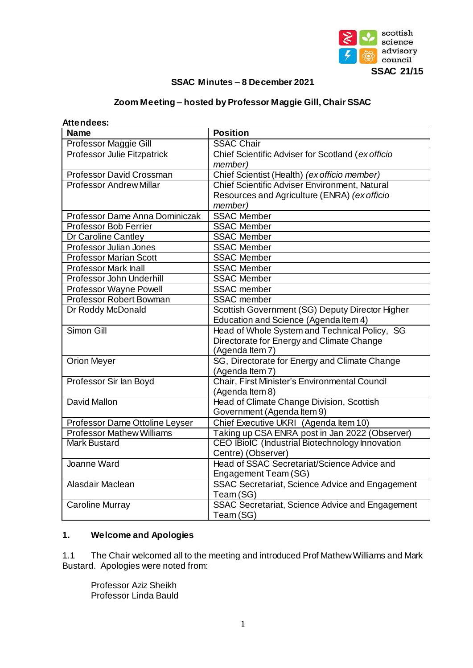

### **SSAC Minutes – 8 December 2021**

# **Zoom Meeting – hosted by Professor Maggie Gill, Chair SSAC**

| Attendees:                         |                                                   |  |  |
|------------------------------------|---------------------------------------------------|--|--|
| <b>Name</b>                        | <b>Position</b>                                   |  |  |
| Professor Maggie Gill              | <b>SSAC Chair</b>                                 |  |  |
| <b>Professor Julie Fitzpatrick</b> | Chief Scientific Adviser for Scotland (ex officio |  |  |
|                                    | member)                                           |  |  |
| <b>Professor David Crossman</b>    | Chief Scientist (Health) (ex officio member)      |  |  |
| <b>Professor Andrew Millar</b>     | Chief Scientific Adviser Environment, Natural     |  |  |
|                                    | Resources and Agriculture (ENRA) (ex officio      |  |  |
|                                    | member)                                           |  |  |
| Professor Dame Anna Dominiczak     | <b>SSAC Member</b>                                |  |  |
| <b>Professor Bob Ferrier</b>       | <b>SSAC Member</b>                                |  |  |
| Dr Caroline Cantley                | <b>SSAC Member</b>                                |  |  |
| Professor Julian Jones             | <b>SSAC Member</b>                                |  |  |
| <b>Professor Marian Scott</b>      | <b>SSAC Member</b>                                |  |  |
| <b>Professor Mark Inall</b>        | <b>SSAC Member</b>                                |  |  |
| Professor John Underhill           | <b>SSAC Member</b>                                |  |  |
| Professor Wayne Powell             | <b>SSAC</b> member                                |  |  |
| <b>Professor Robert Bowman</b>     | <b>SSAC</b> member                                |  |  |
| Dr Roddy McDonald                  | Scottish Government (SG) Deputy Director Higher   |  |  |
|                                    | Education and Science (Agenda Item 4)             |  |  |
| Simon Gill                         | Head of Whole System and Technical Policy, SG     |  |  |
|                                    | Directorate for Energy and Climate Change         |  |  |
|                                    | (Agenda Item 7)                                   |  |  |
| Orion Meyer                        | SG, Directorate for Energy and Climate Change     |  |  |
|                                    | (Agenda Item 7)                                   |  |  |
| Professor Sir lan Boyd             | Chair, First Minister's Environmental Council     |  |  |
|                                    | (Agenda Item 8)                                   |  |  |
| David Mallon                       | Head of Climate Change Division, Scottish         |  |  |
|                                    | Government (Agenda Item 9)                        |  |  |
| Professor Dame Ottoline Leyser     | Chief Executive UKRI (Agenda Item 10)             |  |  |
| <b>Professor Mathew Williams</b>   | Taking up CSA ENRA post in Jan 2022 (Observer)    |  |  |
| <b>Mark Bustard</b>                | CEO IBioIC (Industrial Biotechnology Innovation   |  |  |
|                                    | Centre) (Observer)                                |  |  |
| Joanne Ward                        | Head of SSAC Secretariat/Science Advice and       |  |  |
|                                    | Engagement Team (SG)                              |  |  |
| Alasdair Maclean                   | SSAC Secretariat, Science Advice and Engagement   |  |  |
|                                    | Team (SG)                                         |  |  |
| Caroline Murray                    | SSAC Secretariat, Science Advice and Engagement   |  |  |
|                                    | Team (SG)                                         |  |  |

# **1. Welcome and Apologies**

1.1 The Chair welcomed all to the meeting and introduced Prof Mathew Williams and Mark Bustard. Apologies were noted from:

Professor Aziz Sheikh Professor Linda Bauld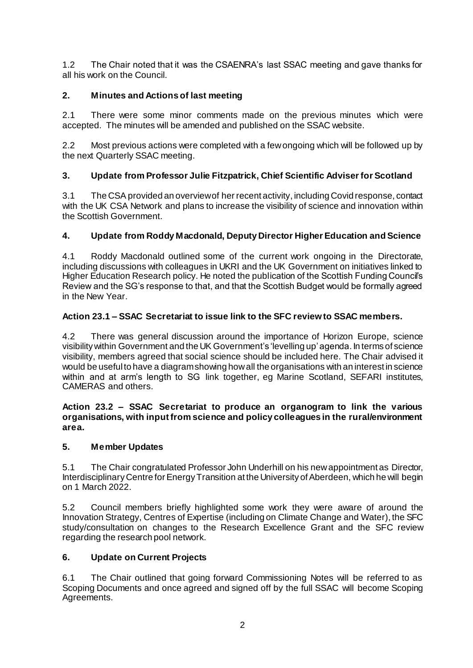1.2 The Chair noted that it was the CSAENRA's last SSAC meeting and gave thanks for all his work on the Council.

# **2. Minutes and Actions of last meeting**

2.1 There were some minor comments made on the previous minutes which were accepted. The minutes will be amended and published on the SSAC website.

2.2 Most previous actions were completed with a few ongoing which will be followed up by the next Quarterly SSAC meeting.

# **3. Update from Professor Julie Fitzpatrick, Chief Scientific Adviser for Scotland**

3.1 The CSA provided an overview of her recent activity, including Covid response, contact with the UK CSA Network and plans to increase the visibility of science and innovation within the Scottish Government.

# **4. Update from Roddy Macdonald, Deputy Director Higher Education and Science**

4.1 Roddy Macdonald outlined some of the current work ongoing in the Directorate, including discussions with colleagues in UKRI and the UK Government on initiatives linked to Higher Education Research policy. He noted the publication of the Scottish Funding Council's Review and the SG's response to that, and that the Scottish Budget would be formally agreed in the New Year.

### **Action 23.1 – SSAC Secretariat to issue link to the SFC review to SSAC members.**

4.2 There was general discussion around the importance of Horizon Europe, science visibility within Government and the UK Government's 'levelling up' agenda. In terms of science visibility, members agreed that social science should be included here. The Chair advised it would be useful to have a diagram showing how all the organisations with an interest in science within and at arm's length to SG link together, eg Marine Scotland, SEFARI institutes, CAMERAS and others.

#### **Action 23.2 – SSAC Secretariat to produce an organogram to link the various organisations, with input from science and policy colleagues in the rural/environment area.**

### **5. Member Updates**

5.1 The Chair congratulated Professor John Underhill on his new appointment as Director, Interdisciplinary Centre for Energy Transition at the University of Aberdeen, which he will begin on 1 March 2022.

5.2 Council members briefly highlighted some work they were aware of around the Innovation Strategy, Centres of Expertise (including on Climate Change and Water), the SFC study/consultation on changes to the Research Excellence Grant and the SFC review regarding the research pool network.

### **6. Update on Current Projects**

6.1 The Chair outlined that going forward Commissioning Notes will be referred to as Scoping Documents and once agreed and signed off by the full SSAC will become Scoping Agreements.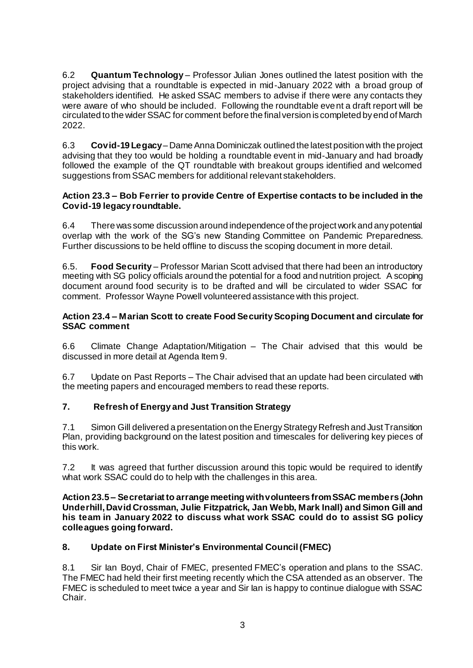6.2 **Quantum Technology** – Professor Julian Jones outlined the latest position with the project advising that a roundtable is expected in mid-January 2022 with a broad group of stakeholders identified. He asked SSAC members to advise if there were any contacts they were aware of who should be included. Following the roundtable event a draft report will be circulated to the wider SSAC for comment before the final version is completed by end of March 2022.

6.3 **Covid-19 Legacy**– Dame Anna Dominiczak outlined the latest position with the project advising that they too would be holding a roundtable event in mid-January and had broadly followed the example of the QT roundtable with breakout groups identified and welcomed suggestions from SSAC members for additional relevant stakeholders.

### **Action 23.3 – Bob Ferrier to provide Centre of Expertise contacts to be included in the Covid-19 legacy roundtable.**

6.4 There was some discussion around independence of the project work and any potential overlap with the work of the SG's new Standing Committee on Pandemic Preparedness. Further discussions to be held offline to discuss the scoping document in more detail.

6.5. **Food Security** – Professor Marian Scott advised that there had been an introductory meeting with SG policy officials around the potential for a food and nutrition project. A scoping document around food security is to be drafted and will be circulated to wider SSAC for comment. Professor Wayne Powell volunteered assistance with this project.

#### **Action 23.4 – Marian Scott to create Food Security Scoping Document and circulate for SSAC comment**

6.6 Climate Change Adaptation/Mitigation – The Chair advised that this would be discussed in more detail at Agenda Item 9.

6.7 Update on Past Reports – The Chair advised that an update had been circulated with the meeting papers and encouraged members to read these reports.

### **7. Refresh of Energy and Just Transition Strategy**

7.1 Simon Gill delivered a presentation on the Energy Strategy Refresh and Just Transition Plan, providing background on the latest position and timescales for delivering key pieces of this work.

7.2 It was agreed that further discussion around this topic would be required to identify what work SSAC could do to help with the challenges in this area.

**Action 23.5 – Secretariat to arrange meeting with volunteers from SSAC members (John Underhill, David Crossman, Julie Fitzpatrick, Jan Webb, Mark Inall) and Simon Gill and his team in January 2022 to discuss what work SSAC could do to assist SG policy colleagues going forward.**

### **8. Update on First Minister's Environmental Council (FMEC)**

8.1 Sir Ian Boyd, Chair of FMEC, presented FMEC's operation and plans to the SSAC. The FMEC had held their first meeting recently which the CSA attended as an observer. The FMEC is scheduled to meet twice a year and Sir Ian is happy to continue dialogue with SSAC Chair.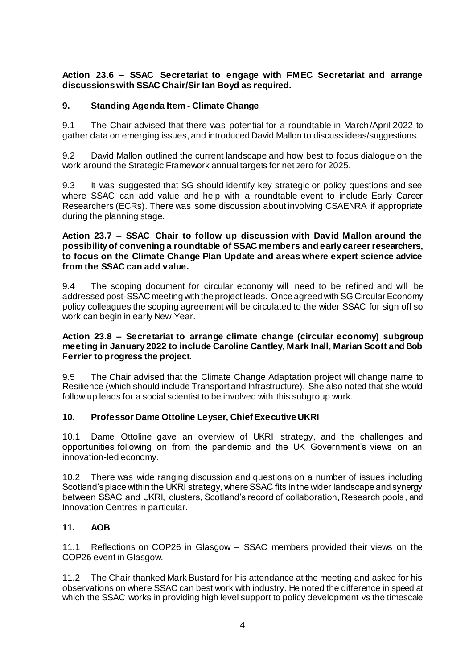**Action 23.6 – SSAC Secretariat to engage with FMEC Secretariat and arrange discussions with SSAC Chair/Sir Ian Boyd as required.**

### **9. Standing Agenda Item - Climate Change**

9.1 The Chair advised that there was potential for a roundtable in March/April 2022 to gather data on emerging issues, and introduced David Mallon to discuss ideas/suggestions.

9.2 David Mallon outlined the current landscape and how best to focus dialogue on the work around the Strategic Framework annual targets for net zero for 2025.

9.3 It was suggested that SG should identify key strategic or policy questions and see where SSAC can add value and help with a roundtable event to include Early Career Researchers (ECRs). There was some discussion about involving CSAENRA if appropriate during the planning stage.

#### **Action 23.7 – SSAC Chair to follow up discussion with David Mallon around the possibility of convening a roundtable of SSAC members and early career researchers, to focus on the Climate Change Plan Update and areas where expert science advice from the SSAC can add value.**

9.4 The scoping document for circular economy will need to be refined and will be addressed post-SSAC meeting with the project leads. Once agreed with SG Circular Economy policy colleagues the scoping agreement will be circulated to the wider SSAC for sign off so work can begin in early New Year.

#### **Action 23.8 – Secretariat to arrange climate change (circular economy) subgroup meeting in January 2022 to include Caroline Cantley, Mark Inall, Marian Scott and Bob Ferrier to progress the project.**

9.5 The Chair advised that the Climate Change Adaptation project will change name to Resilience (which should include Transport and Infrastructure). She also noted that she would follow up leads for a social scientist to be involved with this subgroup work.

### **10. Professor Dame Ottoline Leyser, Chief Executive UKRI**

10.1 Dame Ottoline gave an overview of UKRI strategy, and the challenges and opportunities following on from the pandemic and the UK Government's views on an innovation-led economy.

10.2 There was wide ranging discussion and questions on a number of issues including Scotland's place within the UKRI strategy, where SSAC fits in the wider landscape and synergy between SSAC and UKRI, clusters, Scotland's record of collaboration, Research pools, and Innovation Centres in particular.

### **11. AOB**

11.1 Reflections on COP26 in Glasgow – SSAC members provided their views on the COP26 event in Glasgow.

11.2 The Chair thanked Mark Bustard for his attendance at the meeting and asked for his observations on where SSAC can best work with industry. He noted the difference in speed at which the SSAC works in providing high level support to policy development vs the timescale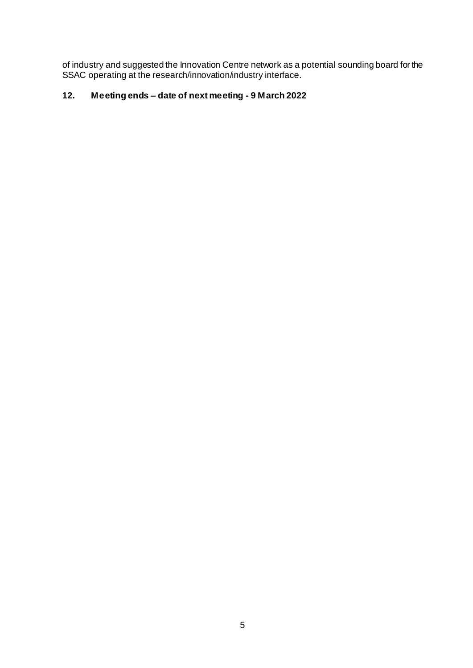of industry and suggested the Innovation Centre network as a potential sounding board for the SSAC operating at the research/innovation/industry interface.

# **12. Meeting ends – date of next meeting - 9 March 2022**